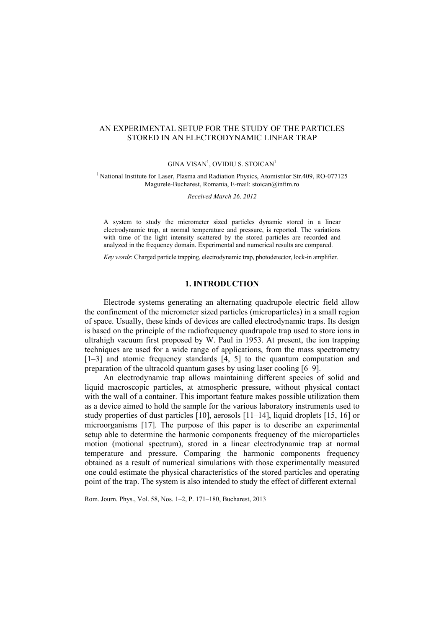## AN EXPERIMENTAL SETUP FOR THE STUDY OF THE PARTICLES STORED IN AN ELECTRODYNAMIC LINEAR TRAP

#### $GINA VISAN<sup>1</sup>, OVIDIU S. STOICAN<sup>1</sup>$

<sup>1</sup> National Institute for Laser, Plasma and Radiation Physics, Atomistilor Str.409, RO-077125 Magurele-Bucharest, Romania, E-mail: stoican@infim.ro

*Received March 26, 2012* 

A system to study the micrometer sized particles dynamic stored in a linear electrodynamic trap, at normal temperature and pressure, is reported. The variations with time of the light intensity scattered by the stored particles are recorded and analyzed in the frequency domain. Experimental and numerical results are compared.

*Key words*: Charged particle trapping, electrodynamic trap, photodetector, lock-in amplifier.

# **1. INTRODUCTION**

Electrode systems generating an alternating quadrupole electric field allow the confinement of the micrometer sized particles (microparticles) in a small region of space. Usually, these kinds of devices are called electrodynamic traps. Its design is based on the principle of the radiofrequency quadrupole trap used to store ions in ultrahigh vacuum first proposed by W. Paul in 1953. At present, the ion trapping techniques are used for a wide range of applications, from the mass spectrometry [1–3] and atomic frequency standards [4, 5] to the quantum computation and preparation of the ultracold quantum gases by using laser cooling [6–9].

An electrodynamic trap allows maintaining different species of solid and liquid macroscopic particles, at atmospheric pressure, without physical contact with the wall of a container. This important feature makes possible utilization them as a device aimed to hold the sample for the various laboratory instruments used to study properties of dust particles [10], aerosols [11–14], liquid droplets [15, 16] or microorganisms [17]. The purpose of this paper is to describe an experimental setup able to determine the harmonic components frequency of the microparticles motion (motional spectrum), stored in a linear electrodynamic trap at normal temperature and pressure. Comparing the harmonic components frequency obtained as a result of numerical simulations with those experimentally measured one could estimate the physical characteristics of the stored particles and operating point of the trap. The system is also intended to study the effect of different external

Rom. Journ. Phys., Vol. 58, Nos. 1–2, P. 171–180, Bucharest, 2013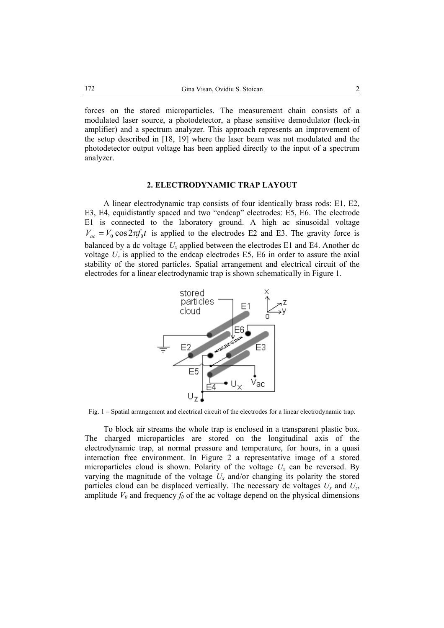forces on the stored microparticles. The measurement chain consists of a modulated laser source, a photodetector, a phase sensitive demodulator (lock-in amplifier) and a spectrum analyzer. This approach represents an improvement of the setup described in [18, 19] where the laser beam was not modulated and the photodetector output voltage has been applied directly to the input of a spectrum analyzer.

### **2. ELECTRODYNAMIC TRAP LAYOUT**

A linear electrodynamic trap consists of four identically brass rods: E1, E2, E3, E4, equidistantly spaced and two "endcap" electrodes: E5, E6. The electrode E1 is connected to the laboratory ground. A high ac sinusoidal voltage  $V_{ac} = V_0 \cos 2\pi f_0 t$  is applied to the electrodes E2 and E3. The gravity force is balanced by a dc voltage *Ux* applied between the electrodes E1 and E4. Another dc voltage  $U_z$  is applied to the endcap electrodes E5, E6 in order to assure the axial stability of the stored particles. Spatial arrangement and electrical circuit of the electrodes for a linear electrodynamic trap is shown schematically in Figure 1.



Fig. 1 – Spatial arrangement and electrical circuit of the electrodes for a linear electrodynamic trap.

To block air streams the whole trap is enclosed in a transparent plastic box. The charged microparticles are stored on the longitudinal axis of the electrodynamic trap, at normal pressure and temperature, for hours, in a quasi interaction free environment. In Figure 2 a representative image of a stored microparticles cloud is shown. Polarity of the voltage  $U_x$  can be reversed. By varying the magnitude of the voltage  $U_x$  and/or changing its polarity the stored particles cloud can be displaced vertically. The necessary dc voltages  $U_x$  and  $U_z$ , amplitude  $V_0$  and frequency  $f_0$  of the ac voltage depend on the physical dimensions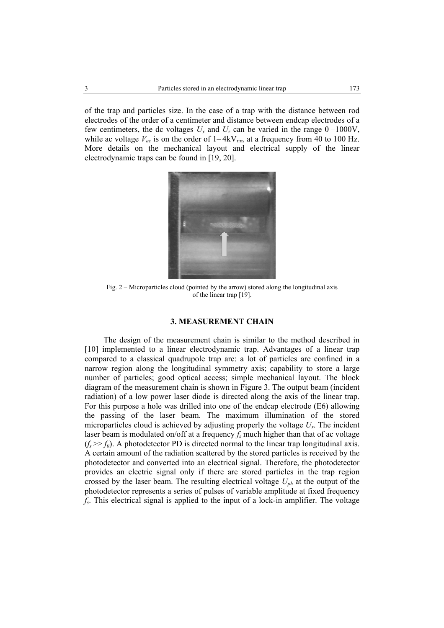of the trap and particles size. In the case of a trap with the distance between rod electrodes of the order of a centimeter and distance between endcap electrodes of a few centimeters, the dc voltages  $U_x$  and  $U_z$  can be varied in the range  $0-1000V$ , while ac voltage  $V_{ac}$  is on the order of  $1-4kV_{rms}$  at a frequency from 40 to 100 Hz. More details on the mechanical layout and electrical supply of the linear electrodynamic traps can be found in [19, 20].



Fig. 2 – Microparticles cloud (pointed by the arrow) stored along the longitudinal axis of the linear trap [19].

## **3. MEASUREMENT CHAIN**

The design of the measurement chain is similar to the method described in [10] implemented to a linear electrodynamic trap. Advantages of a linear trap compared to a classical quadrupole trap are: a lot of particles are confined in a narrow region along the longitudinal symmetry axis; capability to store a large number of particles; good optical access; simple mechanical layout. The block diagram of the measurement chain is shown in Figure 3. The output beam (incident radiation) of a low power laser diode is directed along the axis of the linear trap. For this purpose a hole was drilled into one of the endcap electrode (E6) allowing the passing of the laser beam. The maximum illumination of the stored microparticles cloud is achieved by adjusting properly the voltage *Ux*. The incident laser beam is modulated on/off at a frequency  $f_s$  much higher than that of ac voltage  $(f_s \gg f_0)$ . A photodetector PD is directed normal to the linear trap longitudinal axis. A certain amount of the radiation scattered by the stored particles is received by the photodetector and converted into an electrical signal. Therefore, the photodetector provides an electric signal only if there are stored particles in the trap region crossed by the laser beam. The resulting electrical voltage *Uph* at the output of the photodetector represents a series of pulses of variable amplitude at fixed frequency *fs*. This electrical signal is applied to the input of a lock-in amplifier. The voltage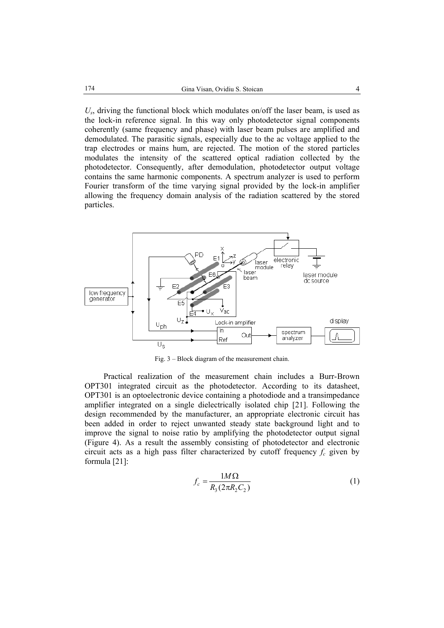*Us*, driving the functional block which modulates on/off the laser beam, is used as the lock-in reference signal. In this way only photodetector signal components coherently (same frequency and phase) with laser beam pulses are amplified and demodulated. The parasitic signals, especially due to the ac voltage applied to the trap electrodes or mains hum, are rejected. The motion of the stored particles modulates the intensity of the scattered optical radiation collected by the photodetector. Consequently, after demodulation, photodetector output voltage contains the same harmonic components. A spectrum analyzer is used to perform Fourier transform of the time varying signal provided by the lock-in amplifier allowing the frequency domain analysis of the radiation scattered by the stored particles.



Fig. 3 – Block diagram of the measurement chain.

Practical realization of the measurement chain includes a Burr-Brown OPT301 integrated circuit as the photodetector. According to its datasheet, OPT301 is an optoelectronic device containing a photodiode and a transimpedance amplifier integrated on a single dielectrically isolated chip [21]. Following the design recommended by the manufacturer, an appropriate electronic circuit has been added in order to reject unwanted steady state background light and to improve the signal to noise ratio by amplifying the photodetector output signal (Figure 4). As a result the assembly consisting of photodetector and electronic circuit acts as a high pass filter characterized by cutoff frequency  $f_c$  given by formula [21]:

$$
f_c = \frac{1M\Omega}{R_3(2\pi R_2 C_2)}\tag{1}
$$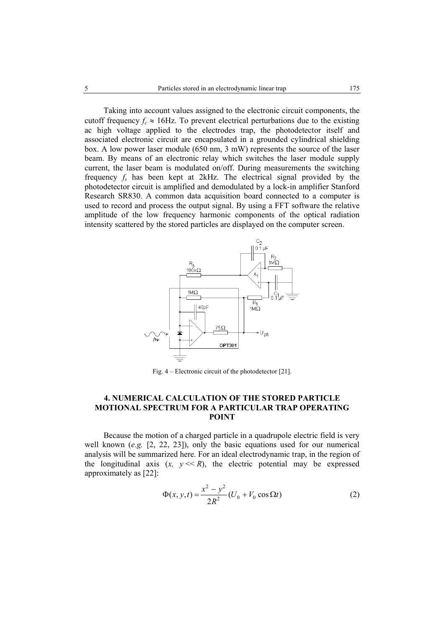Taking into account values assigned to the electronic circuit components, the cutoff frequency  $f_c \approx 16$ Hz. To prevent electrical perturbations due to the existing ac high voltage applied to the electrodes trap, the photodetector itself and associated electronic circuit are encapsulated in a grounded cylindrical shielding box. A low power laser module (650 nm, 3 mW) represents the source of the laser beam. By means of an electronic relay which switches the laser module supply current, the laser beam is modulated on/off. During measurements the switching frequency *fs* has been kept at 2kHz. The electrical signal provided by the photodetector circuit is amplified and demodulated by a lock-in amplifier Stanford Research SR830. A common data acquisition board connected to a computer is used to record and process the output signal. By using a FFT software the relative amplitude of the low frequency harmonic components of the optical radiation intensity scattered by the stored particles are displayed on the computer screen.



Fig. 4 – Electronic circuit of the photodetector [21].

# **4. NUMERICAL CALCULATION OF THE STORED PARTICLE MOTIONAL SPECTRUM FOR A PARTICULAR TRAP OPERATING POINT**

Because the motion of a charged particle in a quadrupole electric field is very well known (*e.g.* [2, 22, 23]), only the basic equations used for our numerical analysis will be summarized here. For an ideal electrodynamic trap, in the region of the longitudinal axis  $(x, y \ll R)$ , the electric potential may be expressed approximately as [22]:

$$
\Phi(x, y, t) = \frac{x^2 - y^2}{2R^2} (U_0 + V_0 \cos \Omega t)
$$
\n(2)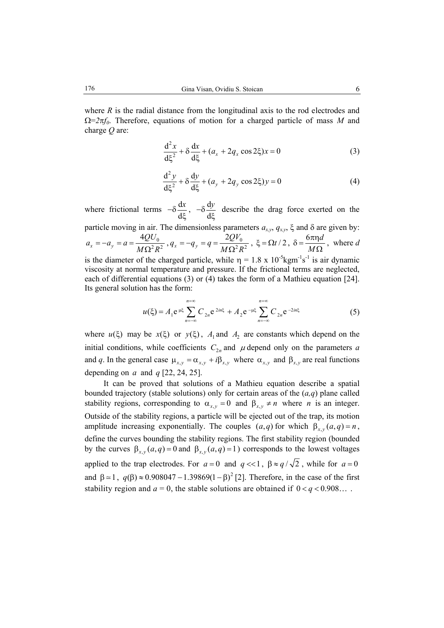where  $R$  is the radial distance from the longitudinal axis to the rod electrodes and  $\Omega = 2\pi f_0$ . Therefore, equations of motion for a charged particle of mass *M* and charge *Q* are:

$$
\frac{d^2x}{d\xi^2} + \delta \frac{dx}{d\xi} + (a_x + 2q_x \cos 2\xi)x = 0
$$
 (3)

$$
\frac{d^2 y}{d\xi^2} + \delta \frac{dy}{d\xi} + (a_y + 2q_y \cos 2\xi)y = 0
$$
 (4)

where frictional terms  $-\delta \frac{d}{dt}$ d −δ ξ  $\frac{x}{\xi}$ ,  $-\delta \frac{dy}{d\xi}$  $\frac{y}{x}$  describe the drag force exerted on the particle moving in air. The dimensionless parameters  $a_{x,y}$ ,  $q_{x,y}$ ,  $\xi$  and  $\delta$  are given by:

$$
a_x = -a_y = a = \frac{4QU_0}{M\Omega^2 R^2}, q_x = -q_y = q = \frac{2QV_0}{M\Omega^2 R^2}, \xi = \Omega t/2, \delta = \frac{6\pi \eta d}{M\Omega}, \text{ where } d
$$
  
is the diameter of the charged particle, while  $\eta = 1.8 \times 10^{-5} \text{kgm}^{-1} \text{s}^{-1}$  is air dynamic

viscosity at normal temperature and pressure. If the frictional terms are neglected, each of differential equations (3) or (4) takes the form of a Mathieu equation [24]. Its general solution has the form:

$$
u(\xi) = A_1 e^{\mu\xi} \sum_{n=-\infty}^{n=\infty} C_{2n} e^{2in\xi} + A_2 e^{-\mu\xi} \sum_{n=-\infty}^{n=\infty} C_{2n} e^{-2in\xi}
$$
 (5)

where  $u(\xi)$  may be  $x(\xi)$  or  $y(\xi)$ ,  $A_1$  and  $A_2$  are constants which depend on the initial conditions, while coefficients  $C_{2n}$  and  $\mu$  depend only on the parameters *a* and *q*. In the general case  $\mu_{x,y} = \alpha_{x,y} + i\beta_{x,y}$  where  $\alpha_{x,y}$  and  $\beta_{x,y}$  are real functions depending on  $a$  and  $q$  [22, 24, 25].

It can be proved that solutions of a Mathieu equation describe a spatial bounded trajectory (stable solutions) only for certain areas of the (*a,q*) plane called stability regions, corresponding to  $\alpha_{x,y} = 0$  and  $\beta_{x,y} \neq n$  where *n* is an integer. Outside of the stability regions, a particle will be ejected out of the trap, its motion amplitude increasing exponentially. The couples  $(a, q)$  for which  $\beta_{x,y}$   $(a, q) = n$ , define the curves bounding the stability regions. The first stability region (bounded by the curves  $\beta_{x,y}(a,q) = 0$  and  $\beta_{x,y}(a,q) = 1$  corresponds to the lowest voltages applied to the trap electrodes. For  $a = 0$  and  $q \ll 1$ ,  $\beta \approx q / \sqrt{2}$ , while for  $a = 0$ and  $\beta \approx 1$ ,  $q(\beta) \approx 0.908047 - 1.39869(1 - \beta)^2$  [2]. Therefore, in the case of the first stability region and  $a = 0$ , the stable solutions are obtained if  $0 < q < 0.908...$ .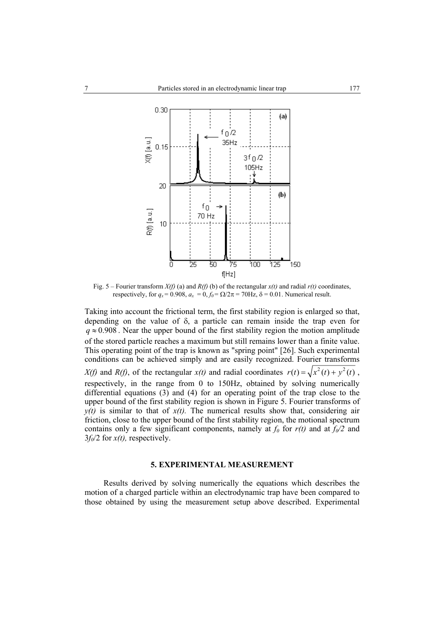

Fig. 5 – Fourier transform  $X(f)$  (a) and  $R(f)$  (b) of the rectangular  $x(t)$  and radial  $r(t)$  coordinates, respectively, for  $q_x = 0.908$ ,  $a_x = 0$ ,  $f_0 = \Omega/2\pi = 70$  Hz,  $\delta = 0.01$ . Numerical result.

Taking into account the frictional term, the first stability region is enlarged so that, depending on the value of δ, a particle can remain inside the trap even for  $q \approx 0.908$ . Near the upper bound of the first stability region the motion amplitude of the stored particle reaches a maximum but still remains lower than a finite value. This operating point of the trap is known as "spring point" [26]. Such experimental conditions can be achieved simply and are easily recognized. Fourier transforms *X(f)* and *R(f)*, of the rectangular *x(t)* and radial coordinates  $r(t) = \sqrt{x^2(t) + y^2(t)}$ , respectively, in the range from 0 to 150Hz, obtained by solving numerically differential equations (3) and (4) for an operating point of the trap close to the upper bound of the first stability region is shown in Figure 5. Fourier transforms of  $y(t)$  is similar to that of  $x(t)$ . The numerical results show that, considering air friction, close to the upper bound of the first stability region, the motional spectrum contains only a few significant components, namely at  $f_0$  for  $r(t)$  and at  $f_0/2$  and  $3f<sub>0</sub>/2$  for  $x(t)$ , respectively.

## **5. EXPERIMENTAL MEASUREMENT**

Results derived by solving numerically the equations which describes the motion of a charged particle within an electrodynamic trap have been compared to those obtained by using the measurement setup above described. Experimental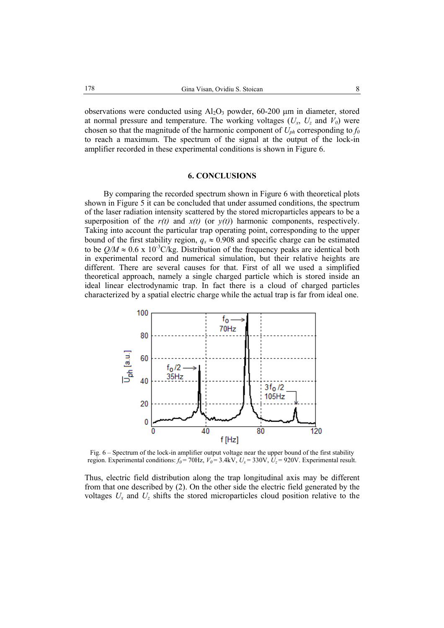observations were conducted using  $Al_2O_3$  powder, 60-200  $\mu$ m in diameter, stored at normal pressure and temperature. The working voltages  $(U_x, U_z$  and  $V_0$ ) were chosen so that the magnitude of the harmonic component of  $U_{ph}$  corresponding to  $f_0$ to reach a maximum. The spectrum of the signal at the output of the lock-in amplifier recorded in these experimental conditions is shown in Figure 6.

#### **6. CONCLUSIONS**

By comparing the recorded spectrum shown in Figure 6 with theoretical plots shown in Figure 5 it can be concluded that under assumed conditions, the spectrum of the laser radiation intensity scattered by the stored microparticles appears to be a superposition of the  $r(t)$  and  $x(t)$  (or  $y(t)$ ) harmonic components, respectively. Taking into account the particular trap operating point, corresponding to the upper bound of the first stability region,  $q_x \approx 0.908$  and specific charge can be estimated to be  $Q/M \approx 0.6 \times 10^{-3}$ C/kg. Distribution of the frequency peaks are identical both in experimental record and numerical simulation, but their relative heights are different. There are several causes for that. First of all we used a simplified theoretical approach, namely a single charged particle which is stored inside an ideal linear electrodynamic trap. In fact there is a cloud of charged particles characterized by a spatial electric charge while the actual trap is far from ideal one.



Fig. 6 – Spectrum of the lock-in amplifier output voltage near the upper bound of the first stability region. Experimental conditions:  $f_0 = 70$ Hz,  $V_0 = 3.4$ kV,  $U_x = 330$ V,  $U_z = 920$ V. Experimental result.

Thus, electric field distribution along the trap longitudinal axis may be different from that one described by (2). On the other side the electric field generated by the voltages  $U_x$  and  $U_z$  shifts the stored microparticles cloud position relative to the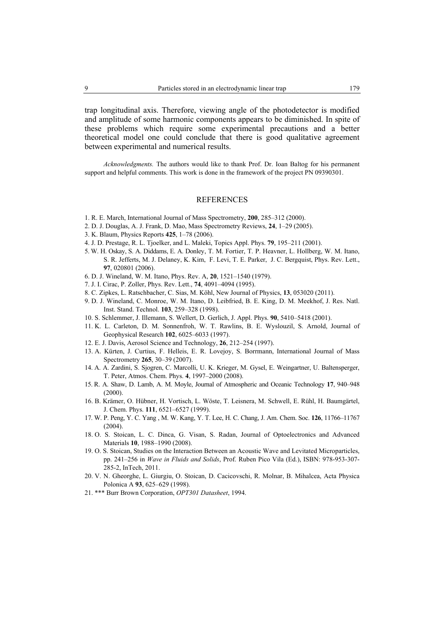trap longitudinal axis. Therefore, viewing angle of the photodetector is modified and amplitude of some harmonic components appears to be diminished. In spite of these problems which require some experimental precautions and a better theoretical model one could conclude that there is good qualitative agreement between experimental and numerical results.

*Acknowledgments.* The authors would like to thank Prof. Dr. Ioan Baltog for his permanent support and helpful comments. This work is done in the framework of the project PN 09390301.

#### REFERENCES

- 1. R. E. March, International Journal of Mass Spectrometry, **200**, 285–312 (2000).
- 2. D. J. Douglas, A. J. Frank, D. Mao, Mass Spectrometry Reviews, **24**, 1–29 (2005).
- 3. K. Blaum, Physics Reports **425**, 1–78 (2006).
- 4. J. D. Prestage, R. L. Tjoelker, and L. Maleki, Topics Appl. Phys. **79**, 195–211 (2001).
- 5. W. H. Oskay, S. A. Diddams, E. A. Donley, T. M. Fortier, T. P. Heavner, L. Hollberg, W. M. Itano, S. R. Jefferts, M. J. Delaney, K. Kim, F. Levi, T. E. Parker, J. C. Bergquist, Phys. Rev. Lett., **97**, 020801 (2006).
- 6. D. J. Wineland, W. M. Itano, Phys. Rev. A, **20**, 1521–1540 (1979).
- 7. J. I. Cirac, P. Zoller, Phys. Rev. Lett., **74**, 4091–4094 (1995).
- 8. C. Zipkes, L. Ratschbacher, C. Sias, M. Köhl, New Journal of Physics, **13**, 053020 (2011).
- 9. D. J. Wineland, C. Monroe, W. M. Itano, D. Leibfried, B. E. King, D. M. Meekhof, J. Res. Natl. Inst. Stand. Technol. **103**, 259–328 (1998).
- 10. S. Schlemmer, J. Illemann, S. Wellert, D. Gerlich, J. Appl. Phys. **90**, 5410–5418 (2001).
- 11. K. L. Carleton, D. M. Sonnenfroh, W. T. Rawlins, B. E. Wyslouzil, S. Arnold, Journal of Geophysical Research **102**, 6025–6033 (1997).
- 12. E. J. Davis, Aerosol Science and Technology, **26**, 212–254 (1997).
- 13. A. Kürten, J. Curtius, F. Helleis, E. R. Lovejoy, S. Borrmann, International Journal of Mass Spectrometry **265**, 30–39 (2007).
- 14. A. A. Zardini, S. Sjogren, C. Marcolli, U. K. Krieger, M. Gysel, E. Weingartner, U. Baltensperger, T. Peter, Atmos. Chem. Phys. **4**, 1997–2000 (2008).
- 15. R. A. Shaw, D. Lamb, A. M. Moyle, Journal of Atmospheric and Oceanic Technology **17**, 940–948 (2000).
- 16. B. Krämer, O. Hübner, H. Vortisch, L. Wöste, T. Leisnera, M. Schwell, E. Rühl, H. Baumgärtel, J. Chem. Phys. **111**, 6521–6527 (1999).
- 17. W. P. Peng, Y. C. Yang , M. W. Kang, Y. T. Lee, H. C. Chang, J. Am. Chem. Soc. **126**, 11766–11767 (2004).
- 18. O. S. Stoican, L. C. Dinca, G. Visan, S. Radan, Journal of Optoelectronics and Advanced Materials **10**, 1988–1990 (2008).
- 19. O. S. Stoican, Studies on the Interaction Between an Acoustic Wave and Levitated Microparticles, pp. 241–256 in *Wave in Fluids and Solids*, Prof. Ruben Pico Vila (Ed.), ISBN: 978-953-307- 285-2, InTech, 2011.
- 20. V. N. Gheorghe, L. Giurgiu, O. Stoican, D. Cacicovschi, R. Molnar, B. Mihalcea, Acta Physica Polonica A **93**, 625–629 (1998).
- 21. \*\*\* Burr Brown Corporation, *OPT301 Datasheet*, 1994.